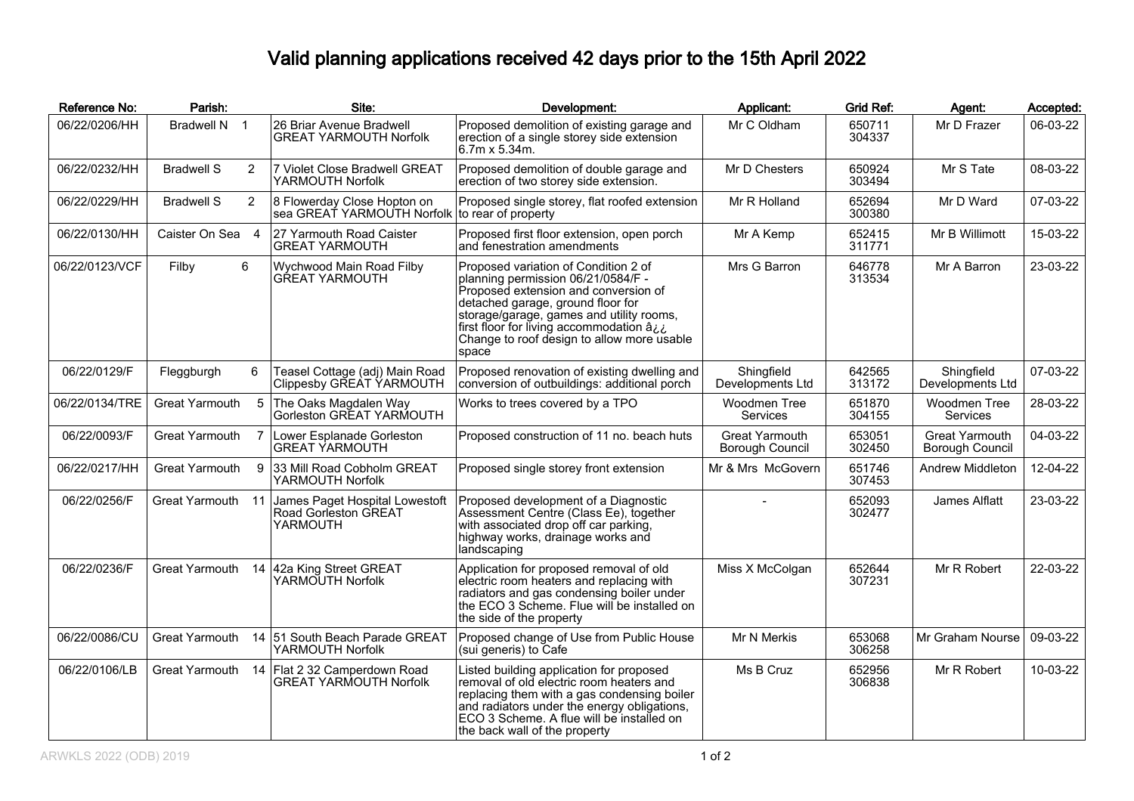## Valid planning applications received 42 days prior to the 15th April 2022

| Reference No:  | Parish:               |                | Site:                                                                         | Development:                                                                                                                                                                                                                                                                                             | Applicant:                               | <b>Grid Ref:</b> | Agent:                            | Accepted: |
|----------------|-----------------------|----------------|-------------------------------------------------------------------------------|----------------------------------------------------------------------------------------------------------------------------------------------------------------------------------------------------------------------------------------------------------------------------------------------------------|------------------------------------------|------------------|-----------------------------------|-----------|
| 06/22/0206/HH  | Bradwell N 1          |                | 26 Briar Avenue Bradwell<br><b>GREAT YARMOUTH Norfolk</b>                     | Proposed demolition of existing garage and<br>erection of a single storey side extension<br>6.7m x 5.34m.                                                                                                                                                                                                | Mr C Oldham                              | 650711<br>304337 | Mr D Frazer                       | 06-03-22  |
| 06/22/0232/HH  | <b>Bradwell S</b>     | 2              | 7 Violet Close Bradwell GREAT<br>YARMOUTH Norfolk                             | Proposed demolition of double garage and<br>erection of two storey side extension.                                                                                                                                                                                                                       | Mr D Chesters                            | 650924<br>303494 | Mr S Tate                         | 08-03-22  |
| 06/22/0229/HH  | <b>Bradwell S</b>     | $\overline{2}$ | 8 Flowerday Close Hopton on<br>sea GREAT YARMOUTH Norfolk to rear of property | Proposed single storey, flat roofed extension                                                                                                                                                                                                                                                            | Mr R Holland                             | 652694<br>300380 | Mr D Ward                         | 07-03-22  |
| 06/22/0130/HH  | Caister On Sea 4      |                | 27 Yarmouth Road Caister<br><b>GREAT YARMOUTH</b>                             | Proposed first floor extension, open porch<br>and fenestration amendments                                                                                                                                                                                                                                | Mr A Kemp                                | 652415<br>311771 | Mr B Willimott                    | 15-03-22  |
| 06/22/0123/VCF | Filby                 | 6              | Wychwood Main Road Filby<br><b>GREAT YARMOUTH</b>                             | Proposed variation of Condition 2 of<br>planning permission 06/21/0584/F -<br>Proposed extension and conversion of<br>detached garage, ground floor for<br>storage/garage, games and utility rooms,<br>first floor for living accommodation âi.i.<br>Change to roof design to allow more usable<br>space | Mrs G Barron                             | 646778<br>313534 | Mr A Barron                       | 23-03-22  |
| 06/22/0129/F   | Fleggburgh            | 6              | Teasel Cottage (adj) Main Road<br>Clippesby GREAT YARMOUTH                    | Proposed renovation of existing dwelling and<br>conversion of outbuildings: additional porch                                                                                                                                                                                                             | Shingfield<br>Developments Ltd           | 642565<br>313172 | Shingfield<br>Developments Ltd    | 07-03-22  |
| 06/22/0134/TRE | Great Yarmouth        |                | 5 The Oaks Magdalen Way<br>Gorleston GREAT YARMOUTH                           | Works to trees covered by a TPO                                                                                                                                                                                                                                                                          | Woodmen Tree<br>Services                 | 651870<br>304155 | Woodmen Tree<br><b>Services</b>   | 28-03-22  |
| 06/22/0093/F   | Great Yarmouth        |                | Lower Esplanade Gorleston<br><b>GREAT YARMOUTH</b>                            | Proposed construction of 11 no. beach huts                                                                                                                                                                                                                                                               | Great Yarmouth<br><b>Borough Council</b> | 653051<br>302450 | Great Yarmouth<br>Borough Council | 04-03-22  |
| 06/22/0217/HH  | <b>Great Yarmouth</b> | 9              | 33 Mill Road Cobholm GREAT<br>YARMOUTH Norfolk                                | Proposed single storey front extension                                                                                                                                                                                                                                                                   | Mr & Mrs McGovern                        | 651746<br>307453 | Andrew Middleton                  | 12-04-22  |
| 06/22/0256/F   | Great Yarmouth 11     |                | James Paget Hospital Lowestoft<br>Road Gorleston GREAT<br>YARMOUTH            | Proposed development of a Diagnostic<br>Assessment Centre (Class Ee), together<br>with associated drop off car parking,<br>highway works, drainage works and<br>landscaping                                                                                                                              |                                          | 652093<br>302477 | James Alflatt                     | 23-03-22  |
| 06/22/0236/F   | Great Yarmouth        |                | 14 42a King Street GREAT<br>YARMOUTH Norfolk                                  | Application for proposed removal of old<br>electric room heaters and replacing with<br>radiators and gas condensing boiler under<br>the ECO 3 Scheme. Flue will be installed on<br>the side of the property                                                                                              | Miss X McColgan                          | 652644<br>307231 | Mr R Robert                       | 22-03-22  |
| 06/22/0086/CU  | Great Yarmouth        |                | 14 51 South Beach Parade GREAT<br>YARMOUTH Norfolk                            | Proposed change of Use from Public House<br>(sui generis) to Cafe                                                                                                                                                                                                                                        | Mr N Merkis                              | 653068<br>306258 | Mr Graham Nourse                  | 09-03-22  |
| 06/22/0106/LB  |                       |                | Great Yarmouth 14 Flat 2 32 Camperdown Road<br><b>GREAT YARMOUTH Norfolk</b>  | Listed building application for proposed<br>removal of old electric room heaters and<br>replacing them with a gas condensing boiler<br>and radiators under the energy obligations,<br>ECO 3 Scheme. A flue will be installed on<br>the back wall of the property                                         | Ms B Cruz                                | 652956<br>306838 | Mr R Robert                       | 10-03-22  |